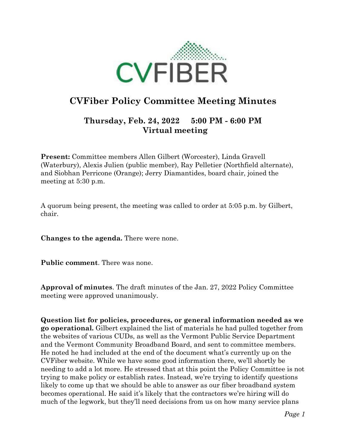

## **CVFiber Policy Committee Meeting Minutes**

## **Thursday, Feb. 24, 2022 5:00 PM - 6:00 PM Virtual meeting**

**Present:** Committee members Allen Gilbert (Worcester), Linda Gravell (Waterbury), Alexis Julien (public member), Ray Pelletier (Northfield alternate), and Siobhan Perricone (Orange); Jerry Diamantides, board chair, joined the meeting at 5:30 p.m.

A quorum being present, the meeting was called to order at 5:05 p.m. by Gilbert, chair.

**Changes to the agenda.** There were none.

**Public comment**. There was none.

**Approval of minutes**. The draft minutes of the Jan. 27, 2022 Policy Committee meeting were approved unanimously.

**Question list for policies, procedures, or general information needed as we go operational.** Gilbert explained the list of materials he had pulled together from the websites of various CUDs, as well as the Vermont Public Service Department and the Vermont Community Broadband Board, and sent to committee members. He noted he had included at the end of the document what's currently up on the CVFiber website. While we have some good information there, we'll shortly be needing to add a lot more. He stressed that at this point the Policy Committee is not trying to make policy or establish rates. Instead, we're trying to identify questions likely to come up that we should be able to answer as our fiber broadband system becomes operational. He said it's likely that the contractors we're hiring will do much of the legwork, but they'll need decisions from us on how many service plans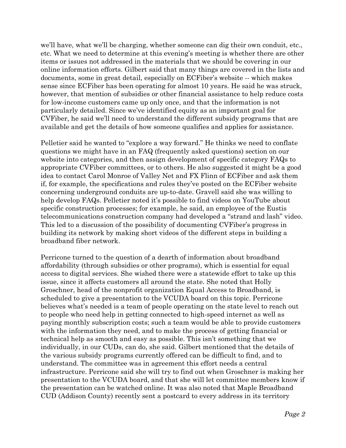we'll have, what we'll be charging, whether someone can dig their own conduit, etc., etc. What we need to determine at this evening's meeting is whether there are other items or issues not addressed in the materials that we should be covering in our online information efforts. Gilbert said that many things are covered in the lists and documents, some in great detail, especially on ECFiber's website -- which makes sense since ECFiber has been operating for almost 10 years. He said he was struck, however, that mention of subsidies or other financial assistance to help reduce costs for low-income customers came up only once, and that the information is not particularly detailed. Since we've identified equity as an important goal for CVFiber, he said we'll need to understand the different subsidy programs that are available and get the details of how someone qualifies and applies for assistance.

Pelletier said he wanted to "explore a way forward." He thinks we need to conflate questions we might have in an FAQ (frequently asked questions) section on our website into categories, and then assign development of specific category FAQs to appropriate CVFiber committees, or to others. He also suggested it might be a good idea to contact Carol Monroe of Valley Net and FX Flinn of ECFiber and ask them if, for example, the specifications and rules they've posted on the ECFiber website concerning underground conduits are up-to-date. Gravell said she was willing to help develop FAQs. Pelletier noted it's possible to find videos on YouTube about specific construction processes; for example, he said, an employee of the Eustis telecommunications construction company had developed a "strand and lash" video. This led to a discussion of the possibility of documenting CVFiber's progress in building its network by making short videos of the different steps in building a broadband fiber network.

Perricone turned to the question of a dearth of information about broadband affordability (through subsidies or other programs), which is essential for equal access to digital services. She wished there were a statewide effort to take up this issue, since it affects customers all around the state. She noted that Holly Groschner, head of the nonprofit organization Equal Access to Broadband, is scheduled to give a presentation to the VCUDA board on this topic. Perricone believes what's needed is a team of people operating on the state level to reach out to people who need help in getting connected to high-speed internet as well as paying monthly subscription costs; such a team would be able to provide customers with the information they need, and to make the process of getting financial or technical help as smooth and easy as possible. This isn't something that we individually, in our CUDs, can do, she said. Gilbert mentioned that the details of the various subsidy programs currently offered can be difficult to find, and to understand. The committee was in agreement this effort needs a central infrastructure. Perricone said she will try to find out when Groschner is making her presentation to the VCUDA board, and that she will let committee members know if the presentation can be watched online. It was also noted that Maple Broadband CUD (Addison County) recently sent a postcard to every address in its territory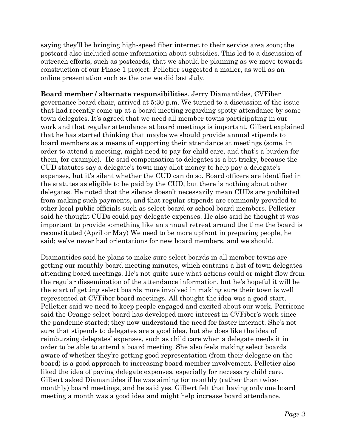saying they'll be bringing high-speed fiber internet to their service area soon; the postcard also included some information about subsidies. This led to a discussion of outreach efforts, such as postcards, that we should be planning as we move towards construction of our Phase 1 project. Pelletier suggested a mailer, as well as an online presentation such as the one we did last July.

**Board member / alternate responsibilities**. Jerry Diamantides, CVFiber governance board chair, arrived at 5:30 p.m. We turned to a discussion of the issue that had recently come up at a board meeting regarding spotty attendance by some town delegates. It's agreed that we need all member towns participating in our work and that regular attendance at board meetings is important. Gilbert explained that he has started thinking that maybe we should provide annual stipends to board members as a means of supporting their attendance at meetings (some, in order to attend a meeting, might need to pay for child care, and that's a burden for them, for example). He said compensation to delegates is a bit tricky, because the CUD statutes say a delegate's town may allot money to help pay a delegate's expenses, but it's silent whether the CUD can do so. Board officers are identified in the statutes as eligible to be paid by the CUD, but there is nothing about other delegates. He noted that the silence doesn't necessarily mean CUDs are prohibited from making such payments, and that regular stipends are commonly provided to other local public officials such as select board or school board members. Pelletier said he thought CUDs could pay delegate expenses. He also said he thought it was important to provide something like an annual retreat around the time the board is reconstituted (April or May) We need to be more upfront in preparing people, he said; we've never had orientations for new board members, and we should.

Diamantides said he plans to make sure select boards in all member towns are getting our monthly board meeting minutes, which contains a list of town delegates attending board meetings. He's not quite sure what actions could or might flow from the regular dissemination of the attendance information, but he's hopeful it will be the start of getting select boards more involved in making sure their town is well represented at CVFiber board meetings. All thought the idea was a good start. Pelletier said we need to keep people engaged and excited about our work. Perricone said the Orange select board has developed more interest in CVFiber's work since the pandemic started; they now understand the need for faster internet. She's not sure that stipends to delegates are a good idea, but she does like the idea of reimbursing delegates' expenses, such as child care when a delegate needs it in order to be able to attend a board meeting. She also feels making select boards aware of whether they're getting good representation (from their delegate on the board) is a good approach to increasing board member involvement. Pelletier also liked the idea of paying delegate expenses, especially for necessary child care. Gilbert asked Diamantides if he was aiming for monthly (rather than twicemonthly) board meetings, and he said yes. Gilbert felt that having only one board meeting a month was a good idea and might help increase board attendance.